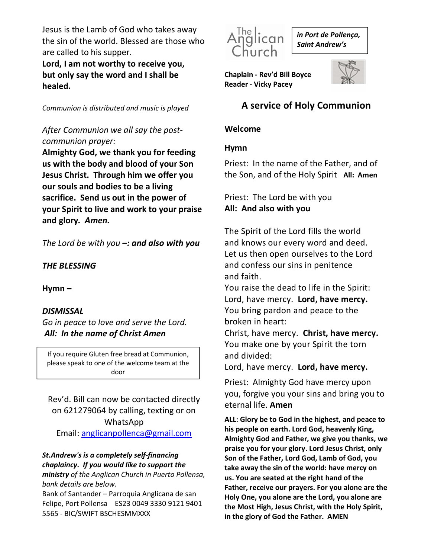Jesus is the Lamb of God who takes away the sin of the world. Blessed are those who are called to his supper.

Lord, I am not worthy to receive you, but only say the word and I shall be healed.

Communion is distributed and music is played

## After Communion we all say the postcommunion prayer:

Almighty God, we thank you for feeding us with the body and blood of your Son Jesus Christ. Through him we offer you our souls and bodies to be a living sacrifice. Send us out in the power of your Spirit to live and work to your praise and glory. Amen.

The Lord be with you  $-$ : and also with you

THE BLESSING

Hymn –

### **DISMISSAL**

Go in peace to love and serve the Lord. All: In the name of Christ Amen

If you require Gluten free bread at Communion, please speak to one of the welcome team at the door

## Rev'd. Bill can now be contacted directly on 621279064 by calling, texting or on WhatsApp

Email: anglicanpollenca@gmail.com

#### St.Andrew's is a completely self-financing chaplaincy. If you would like to support the

ministry of the Anglican Church in Puerto Pollensa, bank details are below.

Bank of Santander – Parroquia Anglicana de san Felipe, Port Pollensa ES23 0049 3330 9121 9401 5565 - BIC/SWIFT BSCHESMMXXX



in Port de Pollença, Saint Andrew's

Chaplain - Rev'd Bill Boyce Reader - Vicky Pacey



# A service of Holy Communion

#### Welcome

#### Hymn

Priest: In the name of the Father, and of the Son, and of the Holy Spirit All: Amen

Priest: The Lord be with you All: And also with you

The Spirit of the Lord fills the world and knows our every word and deed. Let us then open ourselves to the Lord and confess our sins in penitence and faith.

You raise the dead to life in the Spirit: Lord, have mercy. Lord, have mercy. You bring pardon and peace to the broken in heart:

Christ, have mercy. Christ, have mercy. You make one by your Spirit the torn and divided:

Lord, have mercy. Lord, have mercy.

Priest: Almighty God have mercy upon you, forgive you your sins and bring you to eternal life. Amen

ALL: Glory be to God in the highest, and peace to his people on earth. Lord God, heavenly King, Almighty God and Father, we give you thanks, we praise you for your glory. Lord Jesus Christ, only Son of the Father, Lord God, Lamb of God, you take away the sin of the world: have mercy on us. You are seated at the right hand of the Father, receive our prayers. For you alone are the Holy One, you alone are the Lord, you alone are the Most High, Jesus Christ, with the Holy Spirit, in the glory of God the Father. AMEN